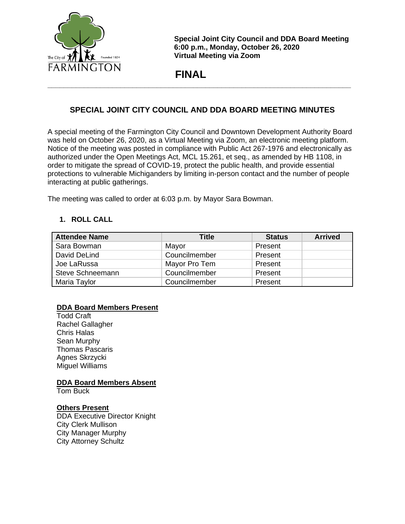

**Special Joint City Council and DDA Board Meeting 6:00 p.m., Monday, October 26, 2020 Virtual Meeting via Zoom**

 **FINAL**

# **SPECIAL JOINT CITY COUNCIL AND DDA BOARD MEETING MINUTES**

**\_\_\_\_\_\_\_\_\_\_\_\_\_\_\_\_\_\_\_\_\_\_\_\_\_\_\_\_\_\_\_\_\_\_\_\_\_\_\_\_\_\_\_\_\_\_\_\_\_\_\_\_\_\_\_\_\_\_\_\_\_\_\_\_\_\_\_\_\_\_\_\_\_\_\_**

A special meeting of the Farmington City Council and Downtown Development Authority Board was held on October 26, 2020, as a Virtual Meeting via Zoom, an electronic meeting platform. Notice of the meeting was posted in compliance with Public Act 267-1976 and electronically as authorized under the Open Meetings Act, MCL 15.261, et seq., as amended by HB 1108, in order to mitigate the spread of COVID-19, protect the public health, and provide essential protections to vulnerable Michiganders by limiting in-person contact and the number of people interacting at public gatherings.

The meeting was called to order at 6:03 p.m. by Mayor Sara Bowman.

# **1. ROLL CALL**

| <b>Attendee Name</b> | Title         | <b>Status</b> | <b>Arrived</b> |
|----------------------|---------------|---------------|----------------|
| Sara Bowman          | Mayor         | Present       |                |
| David DeLind         | Councilmember | Present       |                |
| Joe LaRussa          | Mayor Pro Tem | Present       |                |
| Steve Schneemann     | Councilmember | Present       |                |
| Maria Taylor         | Councilmember | Present       |                |

# **DDA Board Members Present**

Todd Craft Rachel Gallagher Chris Halas Sean Murphy Thomas Pascaris Agnes Skrzycki Miguel Williams

**DDA Board Members Absent**

Tom Buck

#### **Others Present**

DDA Executive Director Knight City Clerk Mullison City Manager Murphy City Attorney Schultz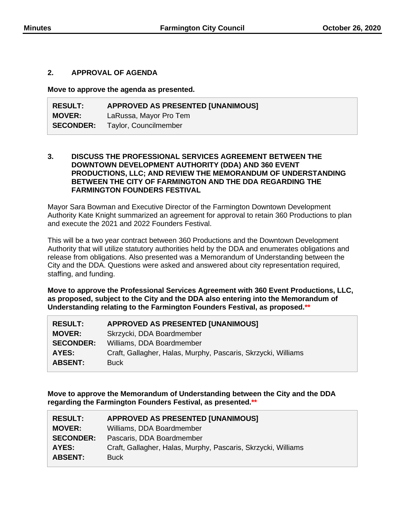### **2. APPROVAL OF AGENDA**

**Move to approve the agenda as presented.**

| <b>RESULT:</b>   | <b>APPROVED AS PRESENTED [UNANIMOUS]</b> |
|------------------|------------------------------------------|
| <b>MOVER:</b>    | LaRussa, Mayor Pro Tem                   |
| <b>SECONDER:</b> | Taylor, Councilmember                    |

### **3. DISCUSS THE PROFESSIONAL SERVICES AGREEMENT BETWEEN THE DOWNTOWN DEVELOPMENT AUTHORITY (DDA) AND 360 EVENT PRODUCTIONS, LLC; AND REVIEW THE MEMORANDUM OF UNDERSTANDING BETWEEN THE CITY OF FARMINGTON AND THE DDA REGARDING THE FARMINGTON FOUNDERS FESTIVAL**

Mayor Sara Bowman and Executive Director of the Farmington Downtown Development Authority Kate Knight summarized an agreement for approval to retain 360 Productions to plan and execute the 2021 and 2022 Founders Festival.

This will be a two year contract between 360 Productions and the Downtown Development Authority that will utilize statutory authorities held by the DDA and enumerates obligations and release from obligations. Also presented was a Memorandum of Understanding between the City and the DDA. Questions were asked and answered about city representation required, staffing, and funding.

**Move to approve the Professional Services Agreement with 360 Event Productions, LLC, as proposed, subject to the City and the DDA also entering into the Memorandum of Understanding relating to the Farmington Founders Festival, as proposed.\*\***

| <b>APPROVED AS PRESENTED [UNANIMOUS]</b>                      |
|---------------------------------------------------------------|
| Skrzycki, DDA Boardmember                                     |
| Williams, DDA Boardmember                                     |
| Craft, Gallagher, Halas, Murphy, Pascaris, Skrzycki, Williams |
| <b>Buck</b>                                                   |
|                                                               |

**Move to approve the Memorandum of Understanding between the City and the DDA regarding the Farmington Founders Festival, as presented.\*\***

| <b>RESULT:</b>   | <b>APPROVED AS PRESENTED [UNANIMOUS]</b>                      |
|------------------|---------------------------------------------------------------|
| <b>MOVER:</b>    | Williams, DDA Boardmember                                     |
| <b>SECONDER:</b> | Pascaris, DDA Boardmember                                     |
| AYES:            | Craft, Gallagher, Halas, Murphy, Pascaris, Skrzycki, Williams |
| <b>ABSENT:</b>   | <b>Buck</b>                                                   |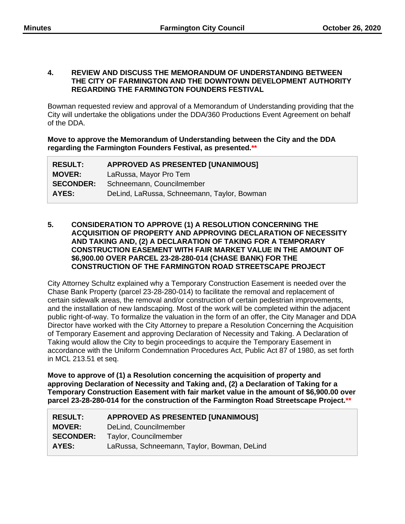#### **4. REVIEW AND DISCUSS THE MEMORANDUM OF UNDERSTANDING BETWEEN THE CITY OF FARMINGTON AND THE DOWNTOWN DEVELOPMENT AUTHORITY REGARDING THE FARMINGTON FOUNDERS FESTIVAL**

Bowman requested review and approval of a Memorandum of Understanding providing that the City will undertake the obligations under the DDA/360 Productions Event Agreement on behalf of the DDA.

**Move to approve the Memorandum of Understanding between the City and the DDA regarding the Farmington Founders Festival, as presented.\*\***

| <b>RESULT:</b>   | <b>APPROVED AS PRESENTED [UNANIMOUS]</b>    |
|------------------|---------------------------------------------|
| <b>MOVER:</b>    | LaRussa, Mayor Pro Tem                      |
| <b>SECONDER:</b> | Schneemann, Councilmember                   |
| AYES:            | DeLind, LaRussa, Schneemann, Taylor, Bowman |

### **5. CONSIDERATION TO APPROVE (1) A RESOLUTION CONCERNING THE ACQUISITION OF PROPERTY AND APPROVING DECLARATION OF NECESSITY AND TAKING AND, (2) A DECLARATION OF TAKING FOR A TEMPORARY CONSTRUCTION EASEMENT WITH FAIR MARKET VALUE IN THE AMOUNT OF \$6,900.00 OVER PARCEL 23-28-280-014 (CHASE BANK) FOR THE CONSTRUCTION OF THE FARMINGTON ROAD STREETSCAPE PROJECT**

City Attorney Schultz explained why a Temporary Construction Easement is needed over the Chase Bank Property (parcel 23-28-280-014) to facilitate the removal and replacement of certain sidewalk areas, the removal and/or construction of certain pedestrian improvements, and the installation of new landscaping. Most of the work will be completed within the adjacent public right-of-way. To formalize the valuation in the form of an offer, the City Manager and DDA Director have worked with the City Attorney to prepare a Resolution Concerning the Acquisition of Temporary Easement and approving Declaration of Necessity and Taking. A Declaration of Taking would allow the City to begin proceedings to acquire the Temporary Easement in accordance with the Uniform Condemnation Procedures Act, Public Act 87 of 1980, as set forth in MCL 213.51 et seq.

**Move to approve of (1) a Resolution concerning the acquisition of property and approving Declaration of Necessity and Taking and, (2) a Declaration of Taking for a Temporary Construction Easement with fair market value in the amount of \$6,900.00 over parcel 23-28-280-014 for the construction of the Farmington Road Streetscape Project.\*\***

| <b>RESULT:</b>   | <b>APPROVED AS PRESENTED [UNANIMOUS]</b>    |  |
|------------------|---------------------------------------------|--|
| <b>MOVER:</b>    | DeLind, Councilmember                       |  |
| <b>SECONDER:</b> | Taylor, Councilmember                       |  |
| AYES:            | LaRussa, Schneemann, Taylor, Bowman, DeLind |  |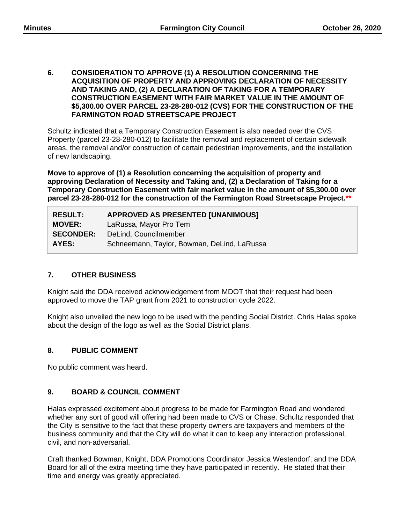**6. CONSIDERATION TO APPROVE (1) A RESOLUTION CONCERNING THE ACQUISITION OF PROPERTY AND APPROVING DECLARATION OF NECESSITY AND TAKING AND, (2) A DECLARATION OF TAKING FOR A TEMPORARY CONSTRUCTION EASEMENT WITH FAIR MARKET VALUE IN THE AMOUNT OF \$5,300.00 OVER PARCEL 23-28-280-012 (CVS) FOR THE CONSTRUCTION OF THE FARMINGTON ROAD STREETSCAPE PROJECT**

Schultz indicated that a Temporary Construction Easement is also needed over the CVS Property (parcel 23-28-280-012) to facilitate the removal and replacement of certain sidewalk areas, the removal and/or construction of certain pedestrian improvements, and the installation of new landscaping.

**Move to approve of (1) a Resolution concerning the acquisition of property and approving Declaration of Necessity and Taking and, (2) a Declaration of Taking for a Temporary Construction Easement with fair market value in the amount of \$5,300.00 over parcel 23-28-280-012 for the construction of the Farmington Road Streetscape Project.\*\***

| <b>RESULT:</b>   | <b>APPROVED AS PRESENTED [UNANIMOUS]</b>    |  |
|------------------|---------------------------------------------|--|
| <b>MOVER:</b>    | LaRussa, Mayor Pro Tem                      |  |
| <b>SECONDER:</b> | DeLind, Councilmember                       |  |
| AYES:            | Schneemann, Taylor, Bowman, DeLind, LaRussa |  |

# **7. OTHER BUSINESS**

Knight said the DDA received acknowledgement from MDOT that their request had been approved to move the TAP grant from 2021 to construction cycle 2022.

Knight also unveiled the new logo to be used with the pending Social District. Chris Halas spoke about the design of the logo as well as the Social District plans.

# **8. PUBLIC COMMENT**

No public comment was heard.

# **9. BOARD & COUNCIL COMMENT**

Halas expressed excitement about progress to be made for Farmington Road and wondered whether any sort of good will offering had been made to CVS or Chase. Schultz responded that the City is sensitive to the fact that these property owners are taxpayers and members of the business community and that the City will do what it can to keep any interaction professional, civil, and non-adversarial.

Craft thanked Bowman, Knight, DDA Promotions Coordinator Jessica Westendorf, and the DDA Board for all of the extra meeting time they have participated in recently. He stated that their time and energy was greatly appreciated.